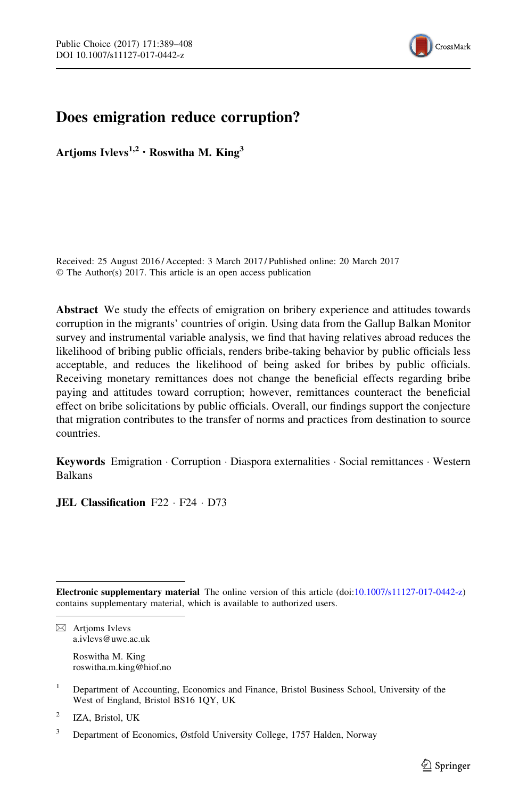

# Does emigration reduce corruption?

Artioms Ivlevs<sup>1,2</sup> • Roswitha M. King<sup>3</sup>

Received: 25 August 2016 / Accepted: 3 March 2017 / Published online: 20 March 2017 © The Author(s) 2017. This article is an open access publication

Abstract We study the effects of emigration on bribery experience and attitudes towards corruption in the migrants' countries of origin. Using data from the Gallup Balkan Monitor survey and instrumental variable analysis, we find that having relatives abroad reduces the likelihood of bribing public officials, renders bribe-taking behavior by public officials less acceptable, and reduces the likelihood of being asked for bribes by public officials. Receiving monetary remittances does not change the beneficial effects regarding bribe paying and attitudes toward corruption; however, remittances counteract the beneficial effect on bribe solicitations by public officials. Overall, our findings support the conjecture that migration contributes to the transfer of norms and practices from destination to source countries.

Keywords Emigration · Corruption · Diaspora externalities · Social remittances · Western Balkans

JEL Classification F22 - F24 - D73

Roswitha M. King roswitha.m.king@hiof.no

Electronic supplementary material The online version of this article  $(doi: 10.1007/s11127-017-0442-z)$  $(doi: 10.1007/s11127-017-0442-z)$ contains supplementary material, which is available to authorized users.

 $\boxtimes$  Artjoms Ivlevs a.ivlevs@uwe.ac.uk

<sup>&</sup>lt;sup>1</sup> Department of Accounting, Economics and Finance, Bristol Business School, University of the West of England, Bristol BS16 1QY, UK

<sup>2</sup> IZA, Bristol, UK

<sup>&</sup>lt;sup>3</sup> Department of Economics, Østfold University College, 1757 Halden, Norway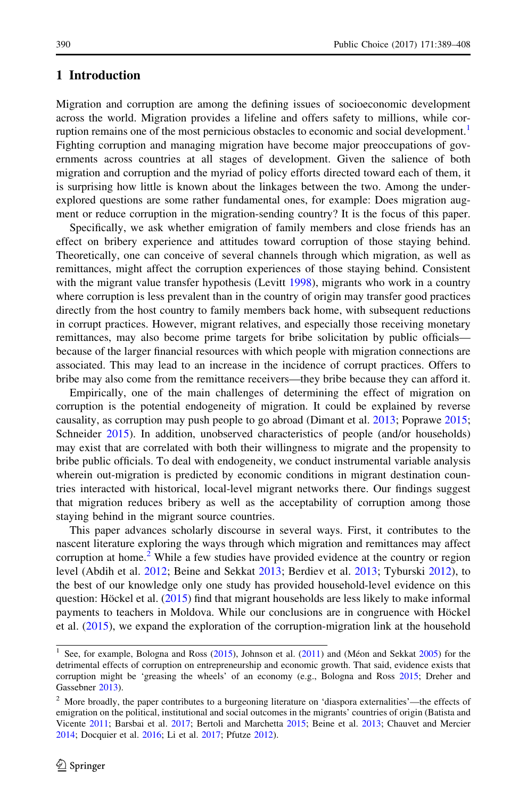## 1 Introduction

Migration and corruption are among the defining issues of socioeconomic development across the world. Migration provides a lifeline and offers safety to millions, while corruption remains one of the most pernicious obstacles to economic and social development.<sup>1</sup> Fighting corruption and managing migration have become major preoccupations of governments across countries at all stages of development. Given the salience of both migration and corruption and the myriad of policy efforts directed toward each of them, it is surprising how little is known about the linkages between the two. Among the underexplored questions are some rather fundamental ones, for example: Does migration augment or reduce corruption in the migration-sending country? It is the focus of this paper.

Specifically, we ask whether emigration of family members and close friends has an effect on bribery experience and attitudes toward corruption of those staying behind. Theoretically, one can conceive of several channels through which migration, as well as remittances, might affect the corruption experiences of those staying behind. Consistent with the migrant value transfer hypothesis (Levitt [1998](#page-19-0)), migrants who work in a country where corruption is less prevalent than in the country of origin may transfer good practices directly from the host country to family members back home, with subsequent reductions in corrupt practices. However, migrant relatives, and especially those receiving monetary remittances, may also become prime targets for bribe solicitation by public officials because of the larger financial resources with which people with migration connections are associated. This may lead to an increase in the incidence of corrupt practices. Offers to bribe may also come from the remittance receivers—they bribe because they can afford it.

Empirically, one of the main challenges of determining the effect of migration on corruption is the potential endogeneity of migration. It could be explained by reverse causality, as corruption may push people to go abroad (Dimant et al. [2013](#page-18-0); Poprawe [2015;](#page-19-0) Schneider [2015\)](#page-19-0). In addition, unobserved characteristics of people (and/or households) may exist that are correlated with both their willingness to migrate and the propensity to bribe public officials. To deal with endogeneity, we conduct instrumental variable analysis wherein out-migration is predicted by economic conditions in migrant destination countries interacted with historical, local-level migrant networks there. Our findings suggest that migration reduces bribery as well as the acceptability of corruption among those staying behind in the migrant source countries.

This paper advances scholarly discourse in several ways. First, it contributes to the nascent literature exploring the ways through which migration and remittances may affect corruption at home.<sup>2</sup> While a few studies have provided evidence at the country or region level (Abdih et al. [2012](#page-18-0); Beine and Sekkat [2013;](#page-18-0) Berdiev et al. [2013;](#page-18-0) Tyburski [2012\)](#page-19-0), to the best of our knowledge only one study has provided household-level evidence on this question: Höckel et al.  $(2015)$  $(2015)$  find that migrant households are less likely to make informal payments to teachers in Moldova. While our conclusions are in congruence with Höckel et al. ([2015\)](#page-19-0), we expand the exploration of the corruption-migration link at the household

<sup>&</sup>lt;sup>1</sup> See, for example, Bologna and Ross ( $2015$ ), Johnson et al. ( $2011$ ) and (Méon and Sekkat  $2005$ ) for the detrimental effects of corruption on entrepreneurship and economic growth. That said, evidence exists that corruption might be 'greasing the wheels' of an economy (e.g., Bologna and Ross [2015](#page-18-0); Dreher and Gassebner [2013](#page-18-0)).

 $2$  More broadly, the paper contributes to a burgeoning literature on 'diaspora externalities'—the effects of emigration on the political, institutional and social outcomes in the migrants' countries of origin (Batista and Vicente [2011;](#page-18-0) Barsbai et al. [2017;](#page-18-0) Bertoli and Marchetta [2015](#page-18-0); Beine et al. [2013;](#page-18-0) Chauvet and Mercier [2014;](#page-18-0) Docquier et al. [2016;](#page-18-0) Li et al. [2017](#page-19-0); Pfutze [2012\)](#page-19-0).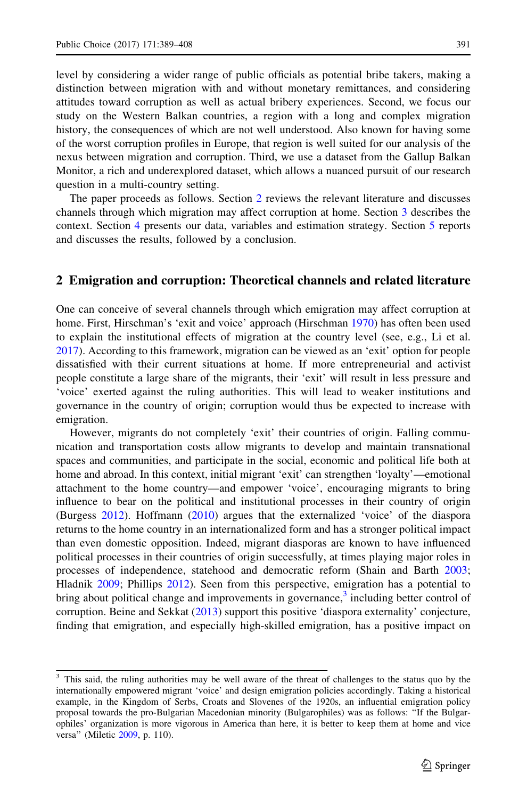level by considering a wider range of public officials as potential bribe takers, making a distinction between migration with and without monetary remittances, and considering attitudes toward corruption as well as actual bribery experiences. Second, we focus our study on the Western Balkan countries, a region with a long and complex migration history, the consequences of which are not well understood. Also known for having some of the worst corruption profiles in Europe, that region is well suited for our analysis of the nexus between migration and corruption. Third, we use a dataset from the Gallup Balkan Monitor, a rich and underexplored dataset, which allows a nuanced pursuit of our research question in a multi-country setting.

The paper proceeds as follows. Section 2 reviews the relevant literature and discusses channels through which migration may affect corruption at home. Section [3](#page-5-0) describes the context. Section [4](#page-6-0) presents our data, variables and estimation strategy. Section [5](#page-12-0) reports and discusses the results, followed by a conclusion.

### 2 Emigration and corruption: Theoretical channels and related literature

One can conceive of several channels through which emigration may affect corruption at home. First, Hirschman's 'exit and voice' approach (Hirschman [1970\)](#page-18-0) has often been used to explain the institutional effects of migration at the country level (see, e.g., Li et al. [2017\)](#page-19-0). According to this framework, migration can be viewed as an 'exit' option for people dissatisfied with their current situations at home. If more entrepreneurial and activist people constitute a large share of the migrants, their 'exit' will result in less pressure and 'voice' exerted against the ruling authorities. This will lead to weaker institutions and governance in the country of origin; corruption would thus be expected to increase with emigration.

However, migrants do not completely 'exit' their countries of origin. Falling communication and transportation costs allow migrants to develop and maintain transnational spaces and communities, and participate in the social, economic and political life both at home and abroad. In this context, initial migrant 'exit' can strengthen 'loyalty'—emotional attachment to the home country—and empower 'voice', encouraging migrants to bring influence to bear on the political and institutional processes in their country of origin (Burgess [2012\)](#page-18-0). Hoffmann ([2010\)](#page-19-0) argues that the externalized 'voice' of the diaspora returns to the home country in an internationalized form and has a stronger political impact than even domestic opposition. Indeed, migrant diasporas are known to have influenced political processes in their countries of origin successfully, at times playing major roles in processes of independence, statehood and democratic reform (Shain and Barth [2003;](#page-19-0) Hladnik [2009](#page-18-0); Phillips [2012](#page-19-0)). Seen from this perspective, emigration has a potential to bring about political change and improvements in governance,<sup>3</sup> including better control of corruption. Beine and Sekkat [\(2013\)](#page-18-0) support this positive 'diaspora externality' conjecture, finding that emigration, and especially high-skilled emigration, has a positive impact on

<sup>&</sup>lt;sup>3</sup> This said, the ruling authorities may be well aware of the threat of challenges to the status quo by the internationally empowered migrant 'voice' and design emigration policies accordingly. Taking a historical example, in the Kingdom of Serbs, Croats and Slovenes of the 1920s, an influential emigration policy proposal towards the pro-Bulgarian Macedonian minority (Bulgarophiles) was as follows: ''If the Bulgarophiles' organization is more vigorous in America than here, it is better to keep them at home and vice versa'' (Miletic [2009,](#page-19-0) p. 110).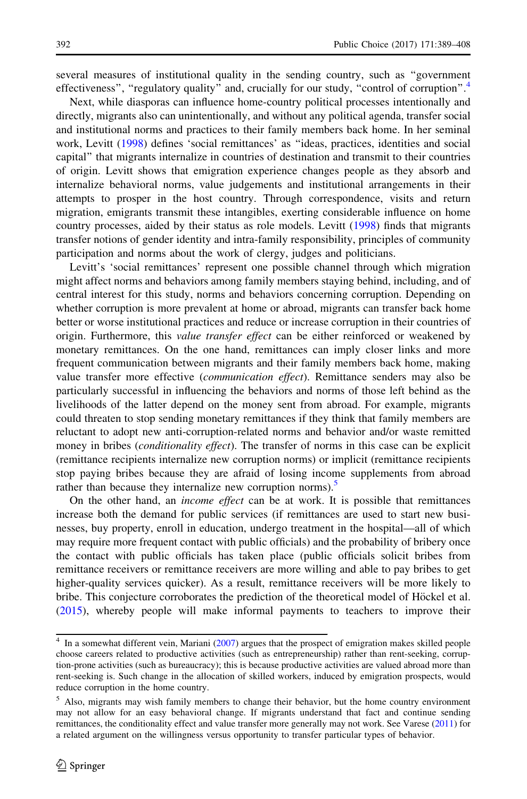several measures of institutional quality in the sending country, such as ''government effectiveness", "regulatory quality" and, crucially for our study, "control of corruption".<sup>4</sup>

Next, while diasporas can influence home-country political processes intentionally and directly, migrants also can unintentionally, and without any political agenda, transfer social and institutional norms and practices to their family members back home. In her seminal work, Levitt ([1998\)](#page-19-0) defines 'social remittances' as ''ideas, practices, identities and social capital'' that migrants internalize in countries of destination and transmit to their countries of origin. Levitt shows that emigration experience changes people as they absorb and internalize behavioral norms, value judgements and institutional arrangements in their attempts to prosper in the host country. Through correspondence, visits and return migration, emigrants transmit these intangibles, exerting considerable influence on home country processes, aided by their status as role models. Levitt ([1998\)](#page-19-0) finds that migrants transfer notions of gender identity and intra-family responsibility, principles of community participation and norms about the work of clergy, judges and politicians.

Levitt's 'social remittances' represent one possible channel through which migration might affect norms and behaviors among family members staying behind, including, and of central interest for this study, norms and behaviors concerning corruption. Depending on whether corruption is more prevalent at home or abroad, migrants can transfer back home better or worse institutional practices and reduce or increase corruption in their countries of origin. Furthermore, this value transfer effect can be either reinforced or weakened by monetary remittances. On the one hand, remittances can imply closer links and more frequent communication between migrants and their family members back home, making value transfer more effective (communication effect). Remittance senders may also be particularly successful in influencing the behaviors and norms of those left behind as the livelihoods of the latter depend on the money sent from abroad. For example, migrants could threaten to stop sending monetary remittances if they think that family members are reluctant to adopt new anti-corruption-related norms and behavior and/or waste remitted money in bribes (*conditionality effect*). The transfer of norms in this case can be explicit (remittance recipients internalize new corruption norms) or implicit (remittance recipients stop paying bribes because they are afraid of losing income supplements from abroad rather than because they internalize new corruption norms).<sup>5</sup>

On the other hand, an income effect can be at work. It is possible that remittances increase both the demand for public services (if remittances are used to start new businesses, buy property, enroll in education, undergo treatment in the hospital—all of which may require more frequent contact with public officials) and the probability of bribery once the contact with public officials has taken place (public officials solicit bribes from remittance receivers or remittance receivers are more willing and able to pay bribes to get higher-quality services quicker). As a result, remittance receivers will be more likely to bribe. This conjecture corroborates the prediction of the theoretical model of Höckel et al. ([2015\)](#page-19-0), whereby people will make informal payments to teachers to improve their

<sup>&</sup>lt;sup>4</sup> In a somewhat different vein, Mariani ([2007](#page-19-0)) argues that the prospect of emigration makes skilled people choose careers related to productive activities (such as entrepreneurship) rather than rent-seeking, corruption-prone activities (such as bureaucracy); this is because productive activities are valued abroad more than rent-seeking is. Such change in the allocation of skilled workers, induced by emigration prospects, would reduce corruption in the home country.

<sup>&</sup>lt;sup>5</sup> Also, migrants may wish family members to change their behavior, but the home country environment may not allow for an easy behavioral change. If migrants understand that fact and continue sending remittances, the conditionality effect and value transfer more generally may not work. See Varese ([2011\)](#page-19-0) for a related argument on the willingness versus opportunity to transfer particular types of behavior.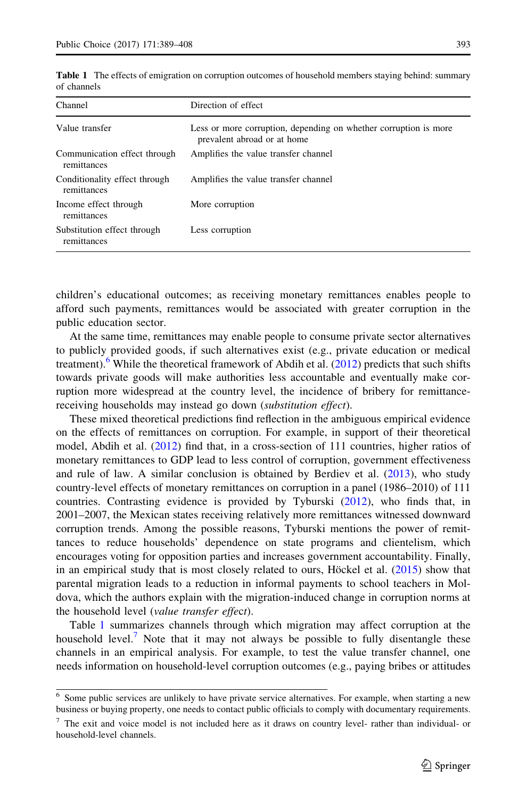| Channel                                      | Direction of effect                                                                             |
|----------------------------------------------|-------------------------------------------------------------------------------------------------|
| Value transfer                               | Less or more corruption, depending on whether corruption is more<br>prevalent abroad or at home |
| Communication effect through<br>remittances  | Amplifies the value transfer channel                                                            |
| Conditionality effect through<br>remittances | Amplifies the value transfer channel                                                            |
| Income effect through<br>remittances         | More corruption                                                                                 |
| Substitution effect through<br>remittances   | Less corruption                                                                                 |

<span id="page-4-0"></span>Table 1 The effects of emigration on corruption outcomes of household members staying behind: summary of channels

children's educational outcomes; as receiving monetary remittances enables people to afford such payments, remittances would be associated with greater corruption in the public education sector.

At the same time, remittances may enable people to consume private sector alternatives to publicly provided goods, if such alternatives exist (e.g., private education or medical treatment).<sup>6</sup> While the theoretical framework of Abdih et al. [\(2012](#page-18-0)) predicts that such shifts towards private goods will make authorities less accountable and eventually make corruption more widespread at the country level, the incidence of bribery for remittancereceiving households may instead go down (substitution effect).

These mixed theoretical predictions find reflection in the ambiguous empirical evidence on the effects of remittances on corruption. For example, in support of their theoretical model, Abdih et al. [\(2012](#page-18-0)) find that, in a cross-section of 111 countries, higher ratios of monetary remittances to GDP lead to less control of corruption, government effectiveness and rule of law. A similar conclusion is obtained by Berdiev et al. [\(2013](#page-18-0)), who study country-level effects of monetary remittances on corruption in a panel (1986–2010) of 111 countries. Contrasting evidence is provided by Tyburski [\(2012](#page-19-0)), who finds that, in 2001–2007, the Mexican states receiving relatively more remittances witnessed downward corruption trends. Among the possible reasons, Tyburski mentions the power of remittances to reduce households' dependence on state programs and clientelism, which encourages voting for opposition parties and increases government accountability. Finally, in an empirical study that is most closely related to ours, Höckel et al.  $(2015)$  $(2015)$  show that parental migration leads to a reduction in informal payments to school teachers in Moldova, which the authors explain with the migration-induced change in corruption norms at the household level (value transfer effect).

Table 1 summarizes channels through which migration may affect corruption at the household level.<sup>7</sup> Note that it may not always be possible to fully disentangle these channels in an empirical analysis. For example, to test the value transfer channel, one needs information on household-level corruption outcomes (e.g., paying bribes or attitudes

 $6$  Some public services are unlikely to have private service alternatives. For example, when starting a new business or buying property, one needs to contact public officials to comply with documentary requirements.

<sup>7</sup> The exit and voice model is not included here as it draws on country level- rather than individual- or household-level channels.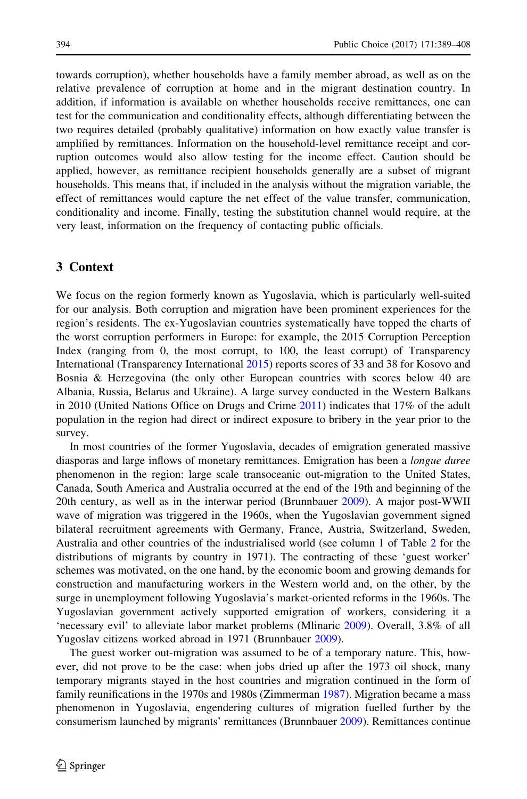<span id="page-5-0"></span>towards corruption), whether households have a family member abroad, as well as on the relative prevalence of corruption at home and in the migrant destination country. In addition, if information is available on whether households receive remittances, one can test for the communication and conditionality effects, although differentiating between the two requires detailed (probably qualitative) information on how exactly value transfer is amplified by remittances. Information on the household-level remittance receipt and corruption outcomes would also allow testing for the income effect. Caution should be applied, however, as remittance recipient households generally are a subset of migrant households. This means that, if included in the analysis without the migration variable, the effect of remittances would capture the net effect of the value transfer, communication, conditionality and income. Finally, testing the substitution channel would require, at the very least, information on the frequency of contacting public officials.

### 3 Context

We focus on the region formerly known as Yugoslavia, which is particularly well-suited for our analysis. Both corruption and migration have been prominent experiences for the region's residents. The ex-Yugoslavian countries systematically have topped the charts of the worst corruption performers in Europe: for example, the 2015 Corruption Perception Index (ranging from 0, the most corrupt, to 100, the least corrupt) of Transparency International (Transparency International [2015](#page-19-0)) reports scores of 33 and 38 for Kosovo and Bosnia & Herzegovina (the only other European countries with scores below 40 are Albania, Russia, Belarus and Ukraine). A large survey conducted in the Western Balkans in 2010 (United Nations Office on Drugs and Crime [2011\)](#page-19-0) indicates that 17% of the adult population in the region had direct or indirect exposure to bribery in the year prior to the survey.

In most countries of the former Yugoslavia, decades of emigration generated massive diasporas and large inflows of monetary remittances. Emigration has been a longue duree phenomenon in the region: large scale transoceanic out-migration to the United States, Canada, South America and Australia occurred at the end of the 19th and beginning of the 20th century, as well as in the interwar period (Brunnbauer [2009](#page-18-0)). A major post-WWII wave of migration was triggered in the 1960s, when the Yugoslavian government signed bilateral recruitment agreements with Germany, France, Austria, Switzerland, Sweden, Australia and other countries of the industrialised world (see column 1 of Table [2](#page-6-0) for the distributions of migrants by country in 1971). The contracting of these 'guest worker' schemes was motivated, on the one hand, by the economic boom and growing demands for construction and manufacturing workers in the Western world and, on the other, by the surge in unemployment following Yugoslavia's market-oriented reforms in the 1960s. The Yugoslavian government actively supported emigration of workers, considering it a 'necessary evil' to alleviate labor market problems (Mlinaric [2009](#page-19-0)). Overall, 3.8% of all Yugoslav citizens worked abroad in 1971 (Brunnbauer [2009](#page-18-0)).

The guest worker out-migration was assumed to be of a temporary nature. This, however, did not prove to be the case: when jobs dried up after the 1973 oil shock, many temporary migrants stayed in the host countries and migration continued in the form of family reunifications in the 1970s and 1980s (Zimmerman [1987](#page-19-0)). Migration became a mass phenomenon in Yugoslavia, engendering cultures of migration fuelled further by the consumerism launched by migrants' remittances (Brunnbauer [2009\)](#page-18-0). Remittances continue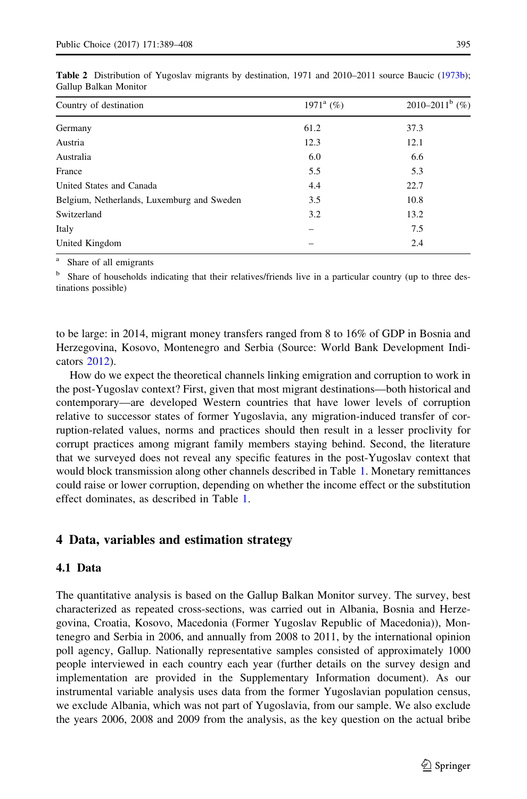| Country of destination                     | 1971 <sup>a</sup> $(\%)$ | $2010-2011^b$ (%) |
|--------------------------------------------|--------------------------|-------------------|
| Germany                                    | 61.2                     | 37.3              |
| Austria                                    | 12.3                     | 12.1              |
| Australia                                  | 6.0                      | 6.6               |
| France                                     | 5.5                      | 5.3               |
| United States and Canada                   | 4.4                      | 22.7              |
| Belgium, Netherlands, Luxemburg and Sweden | 3.5                      | 10.8              |
| Switzerland                                | 3.2                      | 13.2              |
| Italy                                      |                          | 7.5               |

<span id="page-6-0"></span>Table 2 Distribution of Yugoslav migrants by destination, 1971 and 2010–2011 source Baucic ([1973b\)](#page-18-0); Gallup Balkan Monitor

Share of all emigrants

<sup>b</sup> Share of households indicating that their relatives/friends live in a particular country (up to three destinations possible)

United Kingdom 2.4

to be large: in 2014, migrant money transfers ranged from 8 to 16% of GDP in Bosnia and Herzegovina, Kosovo, Montenegro and Serbia (Source: World Bank Development Indicators [2012\)](#page-19-0).

How do we expect the theoretical channels linking emigration and corruption to work in the post-Yugoslav context? First, given that most migrant destinations—both historical and contemporary—are developed Western countries that have lower levels of corruption relative to successor states of former Yugoslavia, any migration-induced transfer of corruption-related values, norms and practices should then result in a lesser proclivity for corrupt practices among migrant family members staying behind. Second, the literature that we surveyed does not reveal any specific features in the post-Yugoslav context that would block transmission along other channels described in Table [1.](#page-4-0) Monetary remittances could raise or lower corruption, depending on whether the income effect or the substitution effect dominates, as described in Table [1.](#page-4-0)

# 4 Data, variables and estimation strategy

### 4.1 Data

The quantitative analysis is based on the Gallup Balkan Monitor survey. The survey, best characterized as repeated cross-sections, was carried out in Albania, Bosnia and Herzegovina, Croatia, Kosovo, Macedonia (Former Yugoslav Republic of Macedonia)), Montenegro and Serbia in 2006, and annually from 2008 to 2011, by the international opinion poll agency, Gallup. Nationally representative samples consisted of approximately 1000 people interviewed in each country each year (further details on the survey design and implementation are provided in the Supplementary Information document). As our instrumental variable analysis uses data from the former Yugoslavian population census, we exclude Albania, which was not part of Yugoslavia, from our sample. We also exclude the years 2006, 2008 and 2009 from the analysis, as the key question on the actual bribe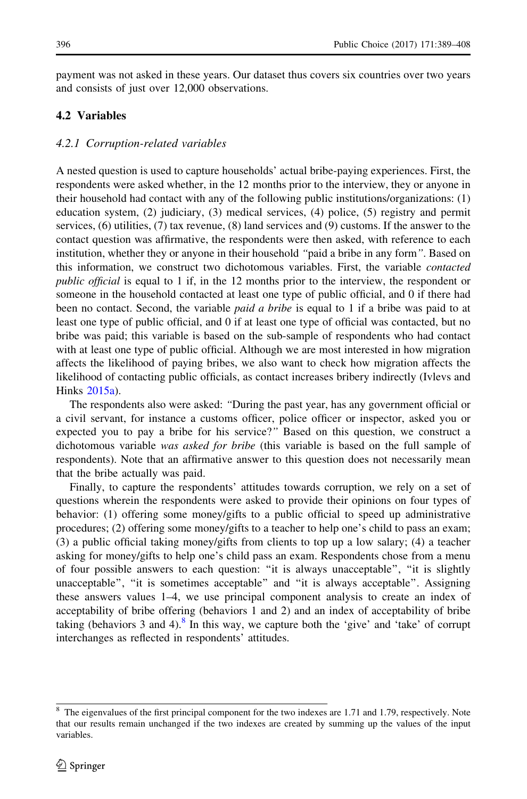payment was not asked in these years. Our dataset thus covers six countries over two years and consists of just over 12,000 observations.

# 4.2 Variables

## 4.2.1 Corruption-related variables

A nested question is used to capture households' actual bribe-paying experiences. First, the respondents were asked whether, in the 12 months prior to the interview, they or anyone in their household had contact with any of the following public institutions/organizations: (1) education system, (2) judiciary, (3) medical services, (4) police, (5) registry and permit services, (6) utilities, (7) tax revenue, (8) land services and (9) customs. If the answer to the contact question was affirmative, the respondents were then asked, with reference to each institution, whether they or anyone in their household ''paid a bribe in any form''. Based on this information, we construct two dichotomous variables. First, the variable contacted public official is equal to 1 if, in the 12 months prior to the interview, the respondent or someone in the household contacted at least one type of public official, and 0 if there had been no contact. Second, the variable *paid a bribe* is equal to 1 if a bribe was paid to at least one type of public official, and 0 if at least one type of official was contacted, but no bribe was paid; this variable is based on the sub-sample of respondents who had contact with at least one type of public official. Although we are most interested in how migration affects the likelihood of paying bribes, we also want to check how migration affects the likelihood of contacting public officials, as contact increases bribery indirectly (Ivlevs and Hinks [2015a\)](#page-19-0).

The respondents also were asked: ''During the past year, has any government official or a civil servant, for instance a customs officer, police officer or inspector, asked you or expected you to pay a bribe for his service?'' Based on this question, we construct a dichotomous variable was asked for bribe (this variable is based on the full sample of respondents). Note that an affirmative answer to this question does not necessarily mean that the bribe actually was paid.

Finally, to capture the respondents' attitudes towards corruption, we rely on a set of questions wherein the respondents were asked to provide their opinions on four types of behavior: (1) offering some money/gifts to a public official to speed up administrative procedures; (2) offering some money/gifts to a teacher to help one's child to pass an exam; (3) a public official taking money/gifts from clients to top up a low salary; (4) a teacher asking for money/gifts to help one's child pass an exam. Respondents chose from a menu of four possible answers to each question: ''it is always unacceptable'', ''it is slightly unacceptable'', ''it is sometimes acceptable'' and ''it is always acceptable''. Assigning these answers values 1–4, we use principal component analysis to create an index of acceptability of bribe offering (behaviors 1 and 2) and an index of acceptability of bribe taking (behaviors 3 and 4).<sup>8</sup> In this way, we capture both the 'give' and 'take' of corrupt interchanges as reflected in respondents' attitudes.

<sup>&</sup>lt;sup>8</sup> The eigenvalues of the first principal component for the two indexes are 1.71 and 1.79, respectively. Note that our results remain unchanged if the two indexes are created by summing up the values of the input variables.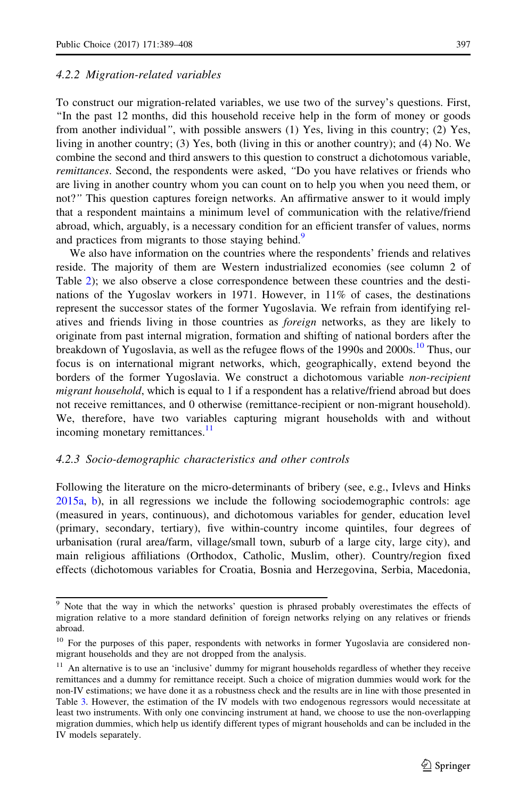#### 4.2.2 Migration-related variables

To construct our migration-related variables, we use two of the survey's questions. First, ''In the past 12 months, did this household receive help in the form of money or goods from another individual'', with possible answers (1) Yes, living in this country; (2) Yes, living in another country; (3) Yes, both (living in this or another country); and (4) No. We combine the second and third answers to this question to construct a dichotomous variable, remittances. Second, the respondents were asked, ''Do you have relatives or friends who are living in another country whom you can count on to help you when you need them, or not?'' This question captures foreign networks. An affirmative answer to it would imply that a respondent maintains a minimum level of communication with the relative/friend abroad, which, arguably, is a necessary condition for an efficient transfer of values, norms and practices from migrants to those staying behind.<sup>9</sup>

We also have information on the countries where the respondents' friends and relatives reside. The majority of them are Western industrialized economies (see column 2 of Table [2](#page-6-0)); we also observe a close correspondence between these countries and the destinations of the Yugoslav workers in 1971. However, in 11% of cases, the destinations represent the successor states of the former Yugoslavia. We refrain from identifying relatives and friends living in those countries as foreign networks, as they are likely to originate from past internal migration, formation and shifting of national borders after the breakdown of Yugoslavia, as well as the refugee flows of the 1990s and 2000s.<sup>10</sup> Thus, our focus is on international migrant networks, which, geographically, extend beyond the borders of the former Yugoslavia. We construct a dichotomous variable non-recipient *migrant household*, which is equal to 1 if a respondent has a relative/friend abroad but does not receive remittances, and 0 otherwise (remittance-recipient or non-migrant household). We, therefore, have two variables capturing migrant households with and without incoming monetary remittances.<sup>11</sup>

### 4.2.3 Socio-demographic characteristics and other controls

Following the literature on the micro-determinants of bribery (see, e.g., Ivlevs and Hinks [2015a,](#page-19-0) [b](#page-19-0)), in all regressions we include the following sociodemographic controls: age (measured in years, continuous), and dichotomous variables for gender, education level (primary, secondary, tertiary), five within-country income quintiles, four degrees of urbanisation (rural area/farm, village/small town, suburb of a large city, large city), and main religious affiliations (Orthodox, Catholic, Muslim, other). Country/region fixed effects (dichotomous variables for Croatia, Bosnia and Herzegovina, Serbia, Macedonia,

<sup>&</sup>lt;sup>9</sup> Note that the way in which the networks' question is phrased probably overestimates the effects of migration relative to a more standard definition of foreign networks relying on any relatives or friends abroad.

<sup>&</sup>lt;sup>10</sup> For the purposes of this paper, respondents with networks in former Yugoslavia are considered nonmigrant households and they are not dropped from the analysis.

 $11$  An alternative is to use an 'inclusive' dummy for migrant households regardless of whether they receive remittances and a dummy for remittance receipt. Such a choice of migration dummies would work for the non-IV estimations; we have done it as a robustness check and the results are in line with those presented in Table [3.](#page-9-0) However, the estimation of the IV models with two endogenous regressors would necessitate at least two instruments. With only one convincing instrument at hand, we choose to use the non-overlapping migration dummies, which help us identify different types of migrant households and can be included in the IV models separately.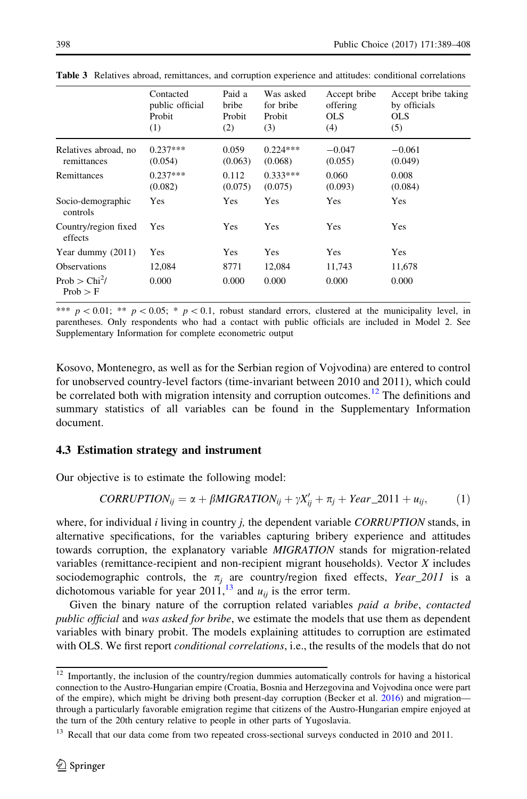|                                       | Contacted<br>public official<br>Probit | Paid a<br>bribe<br>Probit | Was asked<br>for bribe<br>Probit | Accept bribe<br>offering<br><b>OLS</b> | Accept bribe taking<br>by officials<br><b>OLS</b> |
|---------------------------------------|----------------------------------------|---------------------------|----------------------------------|----------------------------------------|---------------------------------------------------|
|                                       | (1)                                    | (2)                       | (3)                              | (4)                                    | (5)                                               |
| Relatives abroad, no<br>remittances   | $0.237***$<br>(0.054)                  | 0.059<br>(0.063)          | $0.224***$<br>(0.068)            | $-0.047$<br>(0.055)                    | $-0.061$<br>(0.049)                               |
| Remittances                           | $0.237***$<br>(0.082)                  | 0.112<br>(0.075)          | $0.333***$<br>(0.075)            | 0.060<br>(0.093)                       | 0.008<br>(0.084)                                  |
| Socio-demographic<br>controls         | Yes                                    | Yes                       | Yes                              | Yes                                    | Yes                                               |
| Country/region fixed<br>effects       | Yes                                    | Yes                       | Yes                              | Yes                                    | Yes                                               |
| Year dummy $(2011)$                   | Yes                                    | Yes                       | Yes                              | Yes                                    | Yes                                               |
| <b>Observations</b>                   | 12,084                                 | 8771                      | 12,084                           | 11,743                                 | 11,678                                            |
| Prob > Chi <sup>2</sup> /<br>Prob > F | 0.000                                  | 0.000                     | 0.000                            | 0.000                                  | 0.000                                             |

<span id="page-9-0"></span>Table 3 Relatives abroad, remittances, and corruption experience and attitudes: conditional correlations

\*\*\*  $p \lt 0.01$ ; \*\*  $p \lt 0.05$ ; \*  $p \lt 0.1$ , robust standard errors, clustered at the municipality level, in parentheses. Only respondents who had a contact with public officials are included in Model 2. See Supplementary Information for complete econometric output

Kosovo, Montenegro, as well as for the Serbian region of Vojvodina) are entered to control for unobserved country-level factors (time-invariant between 2010 and 2011), which could be correlated both with migration intensity and corruption outcomes.<sup>12</sup> The definitions and summary statistics of all variables can be found in the Supplementary Information document.

#### 4.3 Estimation strategy and instrument

Our objective is to estimate the following model:

$$
CORRUPTION_{ij} = \alpha + \beta MIGRATION_{ij} + \gamma X'_{ij} + \pi_j + Year\_2011 + u_{ij},
$$
 (1)

where, for individual  $i$  living in country  $j$ , the dependent variable *CORRUPTION* stands, in alternative specifications, for the variables capturing bribery experience and attitudes towards corruption, the explanatory variable MIGRATION stands for migration-related variables (remittance-recipient and non-recipient migrant households). Vector X includes sociodemographic controls, the  $\pi_i$  are country/region fixed effects, Year\_2011 is a dichotomous variable for year 2011,<sup>13</sup> and  $u_{ii}$  is the error term.

Given the binary nature of the corruption related variables paid a bribe, contacted public official and was asked for bribe, we estimate the models that use them as dependent variables with binary probit. The models explaining attitudes to corruption are estimated with OLS. We first report *conditional correlations*, i.e., the results of the models that do not

 $\frac{12}{12}$  Importantly, the inclusion of the country/region dummies automatically controls for having a historical connection to the Austro-Hungarian empire (Croatia, Bosnia and Herzegovina and Vojvodina once were part of the empire), which might be driving both present-day corruption (Becker et al. [2016\)](#page-18-0) and migration through a particularly favorable emigration regime that citizens of the Austro-Hungarian empire enjoyed at the turn of the 20th century relative to people in other parts of Yugoslavia.

<sup>&</sup>lt;sup>13</sup> Recall that our data come from two repeated cross-sectional surveys conducted in 2010 and 2011.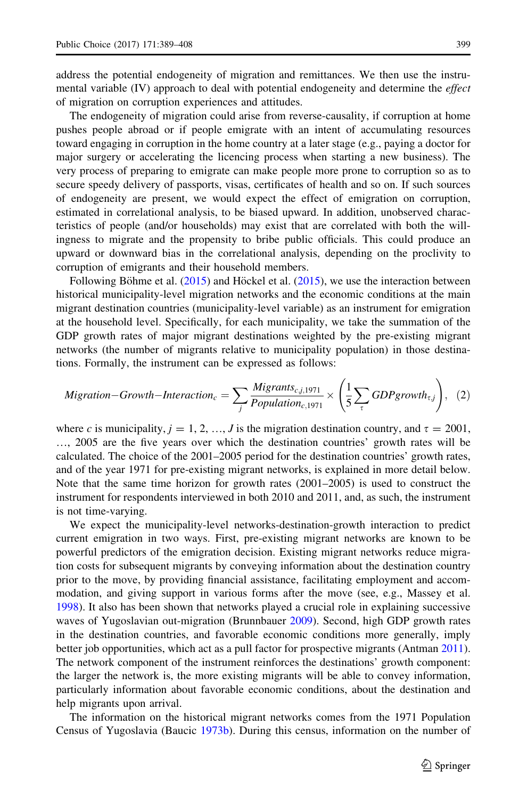address the potential endogeneity of migration and remittances. We then use the instrumental variable (IV) approach to deal with potential endogeneity and determine the *effect* of migration on corruption experiences and attitudes.

The endogeneity of migration could arise from reverse-causality, if corruption at home pushes people abroad or if people emigrate with an intent of accumulating resources toward engaging in corruption in the home country at a later stage (e.g., paying a doctor for major surgery or accelerating the licencing process when starting a new business). The very process of preparing to emigrate can make people more prone to corruption so as to secure speedy delivery of passports, visas, certificates of health and so on. If such sources of endogeneity are present, we would expect the effect of emigration on corruption, estimated in correlational analysis, to be biased upward. In addition, unobserved characteristics of people (and/or households) may exist that are correlated with both the willingness to migrate and the propensity to bribe public officials. This could produce an upward or downward bias in the correlational analysis, depending on the proclivity to corruption of emigrants and their household members.

Following Böhme et al.  $(2015)$  $(2015)$  $(2015)$  and Höckel et al.  $(2015)$  $(2015)$ , we use the interaction between historical municipality-level migration networks and the economic conditions at the main migrant destination countries (municipality-level variable) as an instrument for emigration at the household level. Specifically, for each municipality, we take the summation of the GDP growth rates of major migrant destinations weighted by the pre-existing migrant networks (the number of migrants relative to municipality population) in those destinations. Formally, the instrument can be expressed as follows:

$$
Migration - Growth-Interaction_c = \sum_{j} \frac{Migrants_{c,j,1971}}{Population_{c,1971}} \times \left(\frac{1}{5} \sum_{\tau} GDPgrowth_{\tau,j}\right), (2)
$$

where c is municipality,  $j = 1, 2, ..., J$  is the migration destination country, and  $\tau = 2001$ , …, 2005 are the five years over which the destination countries' growth rates will be calculated. The choice of the 2001–2005 period for the destination countries' growth rates, and of the year 1971 for pre-existing migrant networks, is explained in more detail below. Note that the same time horizon for growth rates (2001–2005) is used to construct the instrument for respondents interviewed in both 2010 and 2011, and, as such, the instrument is not time-varying.

We expect the municipality-level networks-destination-growth interaction to predict current emigration in two ways. First, pre-existing migrant networks are known to be powerful predictors of the emigration decision. Existing migrant networks reduce migration costs for subsequent migrants by conveying information about the destination country prior to the move, by providing financial assistance, facilitating employment and accommodation, and giving support in various forms after the move (see, e.g., Massey et al. [1998\)](#page-19-0). It also has been shown that networks played a crucial role in explaining successive waves of Yugoslavian out-migration (Brunnbauer [2009\)](#page-18-0). Second, high GDP growth rates in the destination countries, and favorable economic conditions more generally, imply better job opportunities, which act as a pull factor for prospective migrants (Antman [2011](#page-18-0)). The network component of the instrument reinforces the destinations' growth component: the larger the network is, the more existing migrants will be able to convey information, particularly information about favorable economic conditions, about the destination and help migrants upon arrival.

The information on the historical migrant networks comes from the 1971 Population Census of Yugoslavia (Baucic [1973b\)](#page-18-0). During this census, information on the number of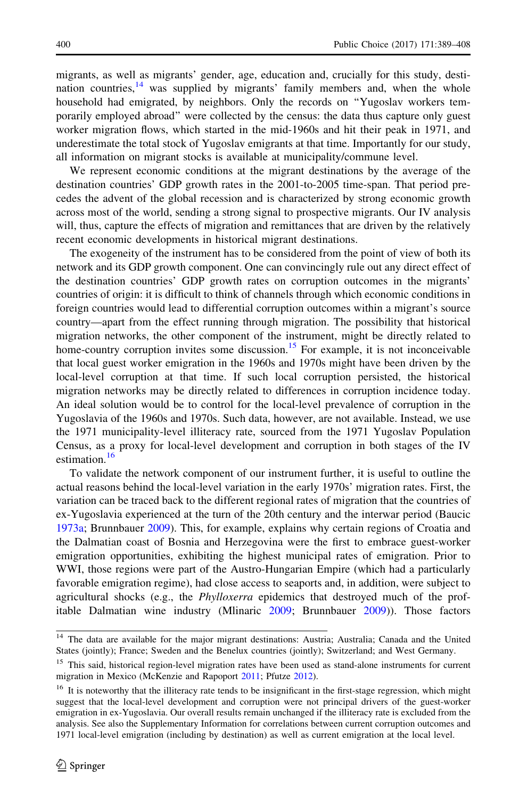migrants, as well as migrants' gender, age, education and, crucially for this study, destination countries, $14$  was supplied by migrants' family members and, when the whole household had emigrated, by neighbors. Only the records on ''Yugoslav workers temporarily employed abroad'' were collected by the census: the data thus capture only guest worker migration flows, which started in the mid-1960s and hit their peak in 1971, and underestimate the total stock of Yugoslav emigrants at that time. Importantly for our study, all information on migrant stocks is available at municipality/commune level.

We represent economic conditions at the migrant destinations by the average of the destination countries' GDP growth rates in the 2001-to-2005 time-span. That period precedes the advent of the global recession and is characterized by strong economic growth across most of the world, sending a strong signal to prospective migrants. Our IV analysis will, thus, capture the effects of migration and remittances that are driven by the relatively recent economic developments in historical migrant destinations.

The exogeneity of the instrument has to be considered from the point of view of both its network and its GDP growth component. One can convincingly rule out any direct effect of the destination countries' GDP growth rates on corruption outcomes in the migrants' countries of origin: it is difficult to think of channels through which economic conditions in foreign countries would lead to differential corruption outcomes within a migrant's source country—apart from the effect running through migration. The possibility that historical migration networks, the other component of the instrument, might be directly related to home-country corruption invites some discussion.<sup>15</sup> For example, it is not inconceivable that local guest worker emigration in the 1960s and 1970s might have been driven by the local-level corruption at that time. If such local corruption persisted, the historical migration networks may be directly related to differences in corruption incidence today. An ideal solution would be to control for the local-level prevalence of corruption in the Yugoslavia of the 1960s and 1970s. Such data, however, are not available. Instead, we use the 1971 municipality-level illiteracy rate, sourced from the 1971 Yugoslav Population Census, as a proxy for local-level development and corruption in both stages of the IV estimation  $^{16}$ 

To validate the network component of our instrument further, it is useful to outline the actual reasons behind the local-level variation in the early 1970s' migration rates. First, the variation can be traced back to the different regional rates of migration that the countries of ex-Yugoslavia experienced at the turn of the 20th century and the interwar period (Baucic [1973a;](#page-18-0) Brunnbauer [2009](#page-18-0)). This, for example, explains why certain regions of Croatia and the Dalmatian coast of Bosnia and Herzegovina were the first to embrace guest-worker emigration opportunities, exhibiting the highest municipal rates of emigration. Prior to WWI, those regions were part of the Austro-Hungarian Empire (which had a particularly favorable emigration regime), had close access to seaports and, in addition, were subject to agricultural shocks (e.g., the *Phylloxerra* epidemics that destroyed much of the profitable Dalmatian wine industry (Mlinaric [2009](#page-19-0); Brunnbauer [2009](#page-18-0))). Those factors

<sup>&</sup>lt;sup>14</sup> The data are available for the major migrant destinations: Austria; Australia; Canada and the United States (jointly); France; Sweden and the Benelux countries (jointly); Switzerland; and West Germany.

<sup>&</sup>lt;sup>15</sup> This said, historical region-level migration rates have been used as stand-alone instruments for current migration in Mexico (McKenzie and Rapoport [2011](#page-19-0); Pfutze [2012](#page-19-0)).

<sup>&</sup>lt;sup>16</sup> It is noteworthy that the illiteracy rate tends to be insignificant in the first-stage regression, which might suggest that the local-level development and corruption were not principal drivers of the guest-worker emigration in ex-Yugoslavia. Our overall results remain unchanged if the illiteracy rate is excluded from the analysis. See also the Supplementary Information for correlations between current corruption outcomes and 1971 local-level emigration (including by destination) as well as current emigration at the local level.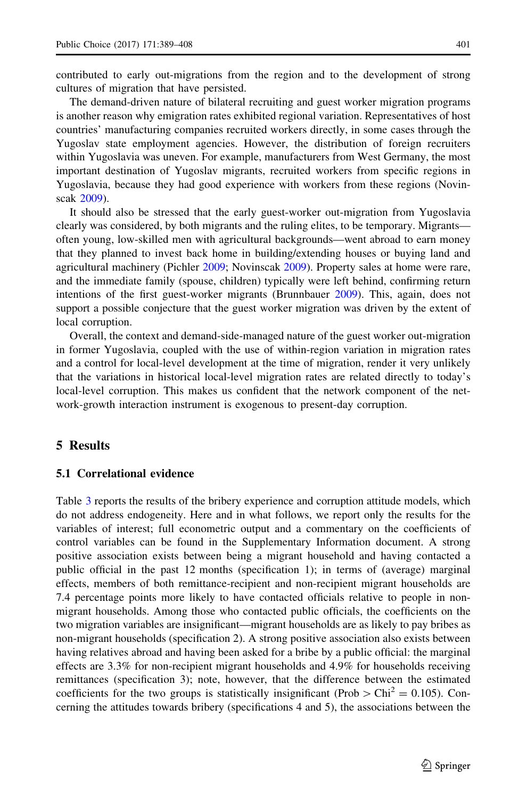<span id="page-12-0"></span>contributed to early out-migrations from the region and to the development of strong cultures of migration that have persisted.

The demand-driven nature of bilateral recruiting and guest worker migration programs is another reason why emigration rates exhibited regional variation. Representatives of host countries' manufacturing companies recruited workers directly, in some cases through the Yugoslav state employment agencies. However, the distribution of foreign recruiters within Yugoslavia was uneven. For example, manufacturers from West Germany, the most important destination of Yugoslav migrants, recruited workers from specific regions in Yugoslavia, because they had good experience with workers from these regions (Novinscak [2009\)](#page-19-0).

It should also be stressed that the early guest-worker out-migration from Yugoslavia clearly was considered, by both migrants and the ruling elites, to be temporary. Migrants often young, low-skilled men with agricultural backgrounds—went abroad to earn money that they planned to invest back home in building/extending houses or buying land and agricultural machinery (Pichler [2009](#page-19-0); Novinscak [2009\)](#page-19-0). Property sales at home were rare, and the immediate family (spouse, children) typically were left behind, confirming return intentions of the first guest-worker migrants (Brunnbauer [2009](#page-18-0)). This, again, does not support a possible conjecture that the guest worker migration was driven by the extent of local corruption.

Overall, the context and demand-side-managed nature of the guest worker out-migration in former Yugoslavia, coupled with the use of within-region variation in migration rates and a control for local-level development at the time of migration, render it very unlikely that the variations in historical local-level migration rates are related directly to today's local-level corruption. This makes us confident that the network component of the network-growth interaction instrument is exogenous to present-day corruption.

#### 5 Results

#### 5.1 Correlational evidence

Table [3](#page-9-0) reports the results of the bribery experience and corruption attitude models, which do not address endogeneity. Here and in what follows, we report only the results for the variables of interest; full econometric output and a commentary on the coefficients of control variables can be found in the Supplementary Information document. A strong positive association exists between being a migrant household and having contacted a public official in the past 12 months (specification 1); in terms of (average) marginal effects, members of both remittance-recipient and non-recipient migrant households are 7.4 percentage points more likely to have contacted officials relative to people in nonmigrant households. Among those who contacted public officials, the coefficients on the two migration variables are insignificant—migrant households are as likely to pay bribes as non-migrant households (specification 2). A strong positive association also exists between having relatives abroad and having been asked for a bribe by a public official: the marginal effects are 3.3% for non-recipient migrant households and 4.9% for households receiving remittances (specification 3); note, however, that the difference between the estimated coefficients for the two groups is statistically insignificant (Prob  $>$  Chi<sup>2</sup> = 0.105). Concerning the attitudes towards bribery (specifications 4 and 5), the associations between the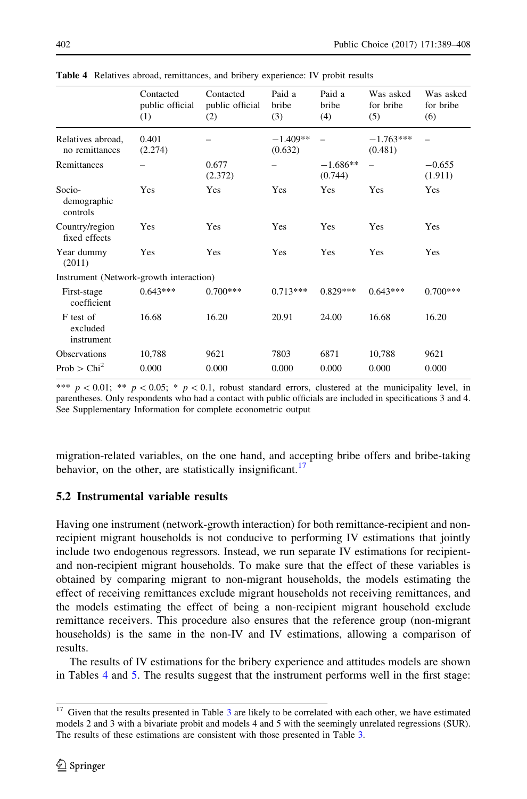|                                         | Contacted<br>public official<br>(1) | Contacted<br>public official<br>(2) | Paid a<br>bribe<br>(3) | Paid a<br>bribe<br>(4) | Was asked<br>for bribe<br>(5) | Was asked<br>for bribe<br>(6) |
|-----------------------------------------|-------------------------------------|-------------------------------------|------------------------|------------------------|-------------------------------|-------------------------------|
| Relatives abroad,<br>no remittances     | 0.401<br>(2.274)                    |                                     | $-1.409**$<br>(0.632)  |                        | $-1.763***$<br>(0.481)        |                               |
| Remittances                             |                                     | 0.677<br>(2.372)                    |                        | $-1.686**$<br>(0.744)  |                               | $-0.655$<br>(1.911)           |
| Socio-<br>demographic<br>controls       | Yes                                 | Yes                                 | Yes                    | Yes                    | Yes                           | Yes                           |
| Country/region<br>fixed effects         | Yes                                 | Yes                                 | Yes                    | Yes                    | Yes                           | Yes                           |
| Year dummy<br>(2011)                    | Yes                                 | Yes                                 | Yes                    | Yes                    | Yes                           | Yes                           |
| Instrument (Network-growth interaction) |                                     |                                     |                        |                        |                               |                               |
| First-stage<br>coefficient              | $0.643***$                          | $0.700***$                          | $0.713***$             | $0.829***$             | $0.643***$                    | $0.700***$                    |
| F test of<br>excluded<br>instrument     | 16.68                               | 16.20                               | 20.91                  | 24.00                  | 16.68                         | 16.20                         |
| Observations                            | 10,788                              | 9621                                | 7803                   | 6871                   | 10,788                        | 9621                          |
| Prob > Chi <sup>2</sup>                 | 0.000                               | 0.000                               | 0.000                  | 0.000                  | 0.000                         | 0.000                         |

<span id="page-13-0"></span>Table 4 Relatives abroad, remittances, and bribery experience: IV probit results

\*\*\*  $p < 0.01$ ; \*\*  $p < 0.05$ ; \*  $p < 0.1$ , robust standard errors, clustered at the municipality level, in parentheses. Only respondents who had a contact with public officials are included in specifications 3 and 4. See Supplementary Information for complete econometric output

migration-related variables, on the one hand, and accepting bribe offers and bribe-taking behavior, on the other, are statistically insignificant.<sup>17</sup>

#### 5.2 Instrumental variable results

Having one instrument (network-growth interaction) for both remittance-recipient and nonrecipient migrant households is not conducive to performing IV estimations that jointly include two endogenous regressors. Instead, we run separate IV estimations for recipientand non-recipient migrant households. To make sure that the effect of these variables is obtained by comparing migrant to non-migrant households, the models estimating the effect of receiving remittances exclude migrant households not receiving remittances, and the models estimating the effect of being a non-recipient migrant household exclude remittance receivers. This procedure also ensures that the reference group (non-migrant households) is the same in the non-IV and IV estimations, allowing a comparison of results.

The results of IV estimations for the bribery experience and attitudes models are shown in Tables 4 and [5.](#page-14-0) The results suggest that the instrument performs well in the first stage:

<sup>&</sup>lt;sup>17</sup> Given that the results presented in Table [3](#page-9-0) are likely to be correlated with each other, we have estimated models 2 and 3 with a bivariate probit and models 4 and 5 with the seemingly unrelated regressions (SUR). The results of these estimations are consistent with those presented in Table [3.](#page-9-0)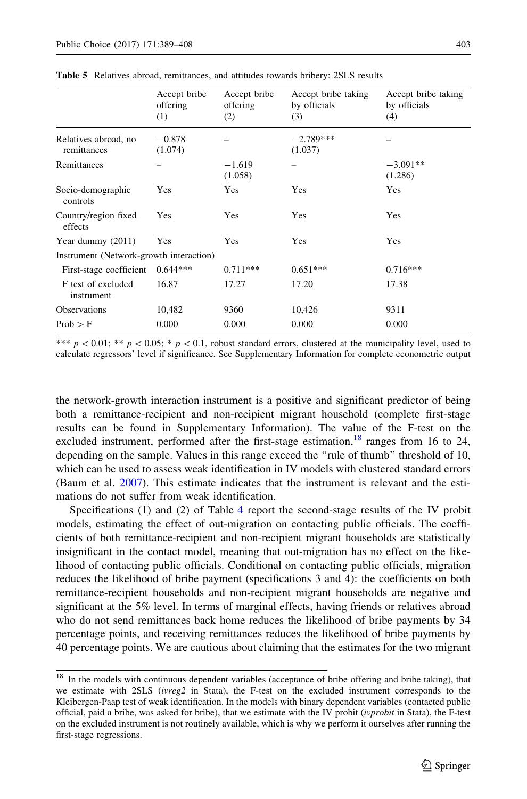|                                         | Accept bribe<br>offering<br>(1) | Accept bribe<br>offering<br>(2) | Accept bribe taking<br>by officials<br>(3) | Accept bribe taking<br>by officials<br>(4) |  |  |
|-----------------------------------------|---------------------------------|---------------------------------|--------------------------------------------|--------------------------------------------|--|--|
| Relatives abroad, no<br>remittances     | $-0.878$<br>(1.074)             |                                 | $-2.789***$<br>(1.037)                     |                                            |  |  |
| Remittances                             |                                 | $-1.619$<br>(1.058)             |                                            | $-3.091**$<br>(1.286)                      |  |  |
| Socio-demographic<br>controls           | Yes                             | Yes                             | Yes                                        | Yes                                        |  |  |
| Country/region fixed<br>effects         | Yes                             | Yes                             | Yes                                        | Yes                                        |  |  |
| Year dummy (2011)                       | Yes                             | Yes                             | Yes                                        | Yes                                        |  |  |
| Instrument (Network-growth interaction) |                                 |                                 |                                            |                                            |  |  |
| First-stage coefficient                 | $0.644***$                      | $0.711***$                      | $0.651***$                                 | $0.716***$                                 |  |  |
| F test of excluded<br>instrument        | 16.87                           | 17.27                           | 17.20                                      | 17.38                                      |  |  |
| <b>Observations</b>                     | 10,482                          | 9360                            | 10,426                                     | 9311                                       |  |  |
| Prob > F                                | 0.000                           | 0.000                           | 0.000                                      | 0.000                                      |  |  |

<span id="page-14-0"></span>Table 5 Relatives abroad, remittances, and attitudes towards bribery: 2SLS results

\*\*\*  $p < 0.01$ ; \*\*  $p < 0.05$ ; \*  $p < 0.1$ , robust standard errors, clustered at the municipality level, used to calculate regressors' level if significance. See Supplementary Information for complete econometric output

the network-growth interaction instrument is a positive and significant predictor of being both a remittance-recipient and non-recipient migrant household (complete first-stage results can be found in Supplementary Information). The value of the F-test on the excluded instrument, performed after the first-stage estimation,  $^{18}$  ranges from 16 to 24, depending on the sample. Values in this range exceed the ''rule of thumb'' threshold of 10, which can be used to assess weak identification in IV models with clustered standard errors (Baum et al. [2007\)](#page-18-0). This estimate indicates that the instrument is relevant and the estimations do not suffer from weak identification.

Specifications (1) and (2) of Table [4](#page-13-0) report the second-stage results of the IV probit models, estimating the effect of out-migration on contacting public officials. The coefficients of both remittance-recipient and non-recipient migrant households are statistically insignificant in the contact model, meaning that out-migration has no effect on the likelihood of contacting public officials. Conditional on contacting public officials, migration reduces the likelihood of bribe payment (specifications 3 and 4): the coefficients on both remittance-recipient households and non-recipient migrant households are negative and significant at the 5% level. In terms of marginal effects, having friends or relatives abroad who do not send remittances back home reduces the likelihood of bribe payments by 34 percentage points, and receiving remittances reduces the likelihood of bribe payments by 40 percentage points. We are cautious about claiming that the estimates for the two migrant

<sup>&</sup>lt;sup>18</sup> In the models with continuous dependent variables (acceptance of bribe offering and bribe taking), that we estimate with 2SLS (ivreg2 in Stata), the F-test on the excluded instrument corresponds to the Kleibergen-Paap test of weak identification. In the models with binary dependent variables (contacted public official, paid a bribe, was asked for bribe), that we estimate with the IV probit (ivprobit in Stata), the F-test on the excluded instrument is not routinely available, which is why we perform it ourselves after running the first-stage regressions.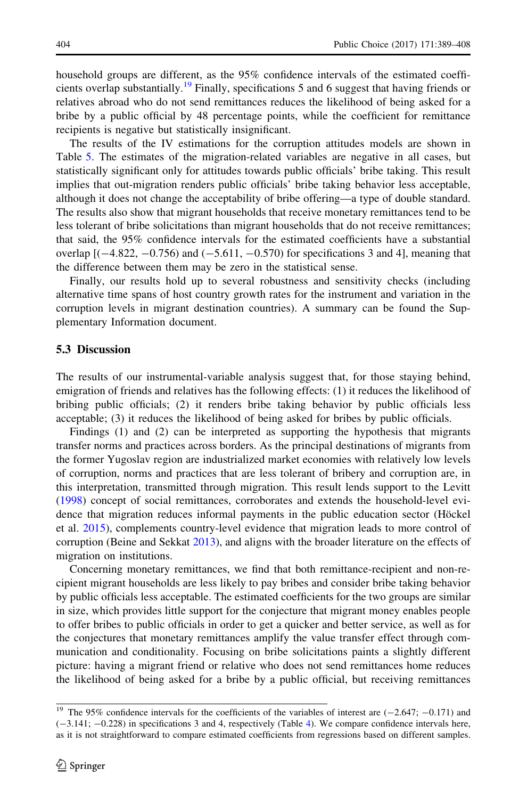household groups are different, as the 95% confidence intervals of the estimated coefficients overlap substantially.<sup>19</sup> Finally, specifications 5 and 6 suggest that having friends or relatives abroad who do not send remittances reduces the likelihood of being asked for a bribe by a public official by 48 percentage points, while the coefficient for remittance recipients is negative but statistically insignificant.

The results of the IV estimations for the corruption attitudes models are shown in Table [5](#page-14-0). The estimates of the migration-related variables are negative in all cases, but statistically significant only for attitudes towards public officials' bribe taking. This result implies that out-migration renders public officials' bribe taking behavior less acceptable, although it does not change the acceptability of bribe offering—a type of double standard. The results also show that migrant households that receive monetary remittances tend to be less tolerant of bribe solicitations than migrant households that do not receive remittances; that said, the 95% confidence intervals for the estimated coefficients have a substantial overlap  $[(-4.822, -0.756)$  and  $(-5.611, -0.570)$  for specifications 3 and 4], meaning that the difference between them may be zero in the statistical sense.

Finally, our results hold up to several robustness and sensitivity checks (including alternative time spans of host country growth rates for the instrument and variation in the corruption levels in migrant destination countries). A summary can be found the Supplementary Information document.

### 5.3 Discussion

The results of our instrumental-variable analysis suggest that, for those staying behind, emigration of friends and relatives has the following effects: (1) it reduces the likelihood of bribing public officials; (2) it renders bribe taking behavior by public officials less acceptable; (3) it reduces the likelihood of being asked for bribes by public officials.

Findings (1) and (2) can be interpreted as supporting the hypothesis that migrants transfer norms and practices across borders. As the principal destinations of migrants from the former Yugoslav region are industrialized market economies with relatively low levels of corruption, norms and practices that are less tolerant of bribery and corruption are, in this interpretation, transmitted through migration. This result lends support to the Levitt ([1998\)](#page-19-0) concept of social remittances, corroborates and extends the household-level evidence that migration reduces informal payments in the public education sector (Höckel et al. [2015](#page-19-0)), complements country-level evidence that migration leads to more control of corruption (Beine and Sekkat [2013\)](#page-18-0), and aligns with the broader literature on the effects of migration on institutions.

Concerning monetary remittances, we find that both remittance-recipient and non-recipient migrant households are less likely to pay bribes and consider bribe taking behavior by public officials less acceptable. The estimated coefficients for the two groups are similar in size, which provides little support for the conjecture that migrant money enables people to offer bribes to public officials in order to get a quicker and better service, as well as for the conjectures that monetary remittances amplify the value transfer effect through communication and conditionality. Focusing on bribe solicitations paints a slightly different picture: having a migrant friend or relative who does not send remittances home reduces the likelihood of being asked for a bribe by a public official, but receiving remittances

<sup>&</sup>lt;sup>19</sup> The 95% confidence intervals for the coefficients of the variables of interest are  $(-2.647; -0.171)$  and  $(-3.141; -0.228)$  $(-3.141; -0.228)$  $(-3.141; -0.228)$  in specifications 3 and 4, respectively (Table 4). We compare confidence intervals here, as it is not straightforward to compare estimated coefficients from regressions based on different samples.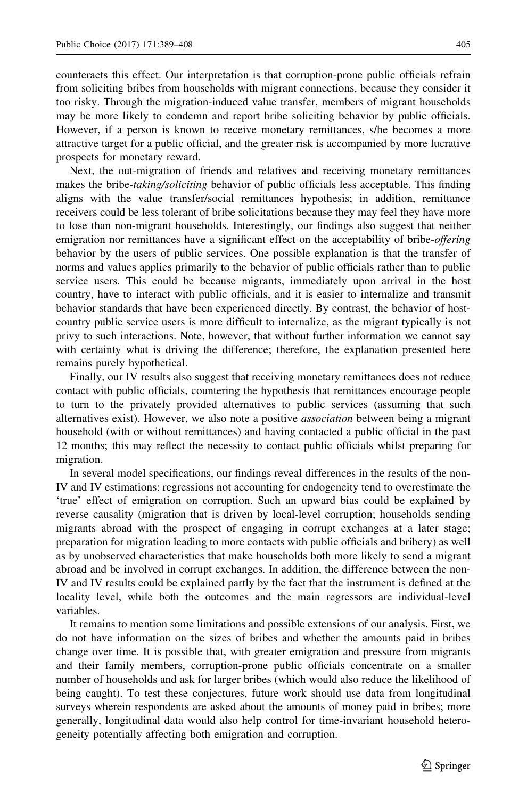counteracts this effect. Our interpretation is that corruption-prone public officials refrain from soliciting bribes from households with migrant connections, because they consider it too risky. Through the migration-induced value transfer, members of migrant households may be more likely to condemn and report bribe soliciting behavior by public officials. However, if a person is known to receive monetary remittances, s/he becomes a more attractive target for a public official, and the greater risk is accompanied by more lucrative prospects for monetary reward.

Next, the out-migration of friends and relatives and receiving monetary remittances makes the bribe-*taking/soliciting* behavior of public officials less acceptable. This finding aligns with the value transfer/social remittances hypothesis; in addition, remittance receivers could be less tolerant of bribe solicitations because they may feel they have more to lose than non-migrant households. Interestingly, our findings also suggest that neither emigration nor remittances have a significant effect on the acceptability of bribe-*offering* behavior by the users of public services. One possible explanation is that the transfer of norms and values applies primarily to the behavior of public officials rather than to public service users. This could be because migrants, immediately upon arrival in the host country, have to interact with public officials, and it is easier to internalize and transmit behavior standards that have been experienced directly. By contrast, the behavior of hostcountry public service users is more difficult to internalize, as the migrant typically is not privy to such interactions. Note, however, that without further information we cannot say with certainty what is driving the difference; therefore, the explanation presented here remains purely hypothetical.

Finally, our IV results also suggest that receiving monetary remittances does not reduce contact with public officials, countering the hypothesis that remittances encourage people to turn to the privately provided alternatives to public services (assuming that such alternatives exist). However, we also note a positive association between being a migrant household (with or without remittances) and having contacted a public official in the past 12 months; this may reflect the necessity to contact public officials whilst preparing for migration.

In several model specifications, our findings reveal differences in the results of the non-IV and IV estimations: regressions not accounting for endogeneity tend to overestimate the 'true' effect of emigration on corruption. Such an upward bias could be explained by reverse causality (migration that is driven by local-level corruption; households sending migrants abroad with the prospect of engaging in corrupt exchanges at a later stage; preparation for migration leading to more contacts with public officials and bribery) as well as by unobserved characteristics that make households both more likely to send a migrant abroad and be involved in corrupt exchanges. In addition, the difference between the non-IV and IV results could be explained partly by the fact that the instrument is defined at the locality level, while both the outcomes and the main regressors are individual-level variables.

It remains to mention some limitations and possible extensions of our analysis. First, we do not have information on the sizes of bribes and whether the amounts paid in bribes change over time. It is possible that, with greater emigration and pressure from migrants and their family members, corruption-prone public officials concentrate on a smaller number of households and ask for larger bribes (which would also reduce the likelihood of being caught). To test these conjectures, future work should use data from longitudinal surveys wherein respondents are asked about the amounts of money paid in bribes; more generally, longitudinal data would also help control for time-invariant household heterogeneity potentially affecting both emigration and corruption.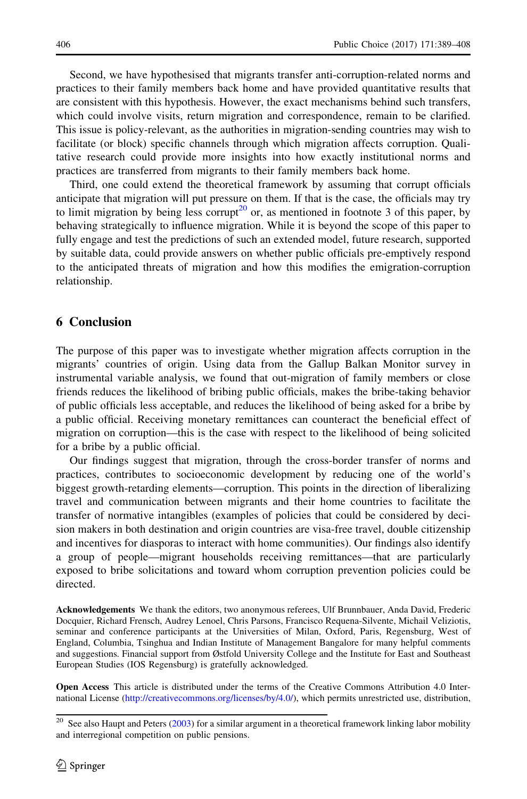Second, we have hypothesised that migrants transfer anti-corruption-related norms and practices to their family members back home and have provided quantitative results that are consistent with this hypothesis. However, the exact mechanisms behind such transfers, which could involve visits, return migration and correspondence, remain to be clarified. This issue is policy-relevant, as the authorities in migration-sending countries may wish to facilitate (or block) specific channels through which migration affects corruption. Qualitative research could provide more insights into how exactly institutional norms and practices are transferred from migrants to their family members back home.

Third, one could extend the theoretical framework by assuming that corrupt officials anticipate that migration will put pressure on them. If that is the case, the officials may try to limit migration by being less corrupt<sup>20</sup> or, as mentioned in footnote 3 of this paper, by behaving strategically to influence migration. While it is beyond the scope of this paper to fully engage and test the predictions of such an extended model, future research, supported by suitable data, could provide answers on whether public officials pre-emptively respond to the anticipated threats of migration and how this modifies the emigration-corruption relationship.

#### 6 Conclusion

The purpose of this paper was to investigate whether migration affects corruption in the migrants' countries of origin. Using data from the Gallup Balkan Monitor survey in instrumental variable analysis, we found that out-migration of family members or close friends reduces the likelihood of bribing public officials, makes the bribe-taking behavior of public officials less acceptable, and reduces the likelihood of being asked for a bribe by a public official. Receiving monetary remittances can counteract the beneficial effect of migration on corruption—this is the case with respect to the likelihood of being solicited for a bribe by a public official.

Our findings suggest that migration, through the cross-border transfer of norms and practices, contributes to socioeconomic development by reducing one of the world's biggest growth-retarding elements—corruption. This points in the direction of liberalizing travel and communication between migrants and their home countries to facilitate the transfer of normative intangibles (examples of policies that could be considered by decision makers in both destination and origin countries are visa-free travel, double citizenship and incentives for diasporas to interact with home communities). Our findings also identify a group of people—migrant households receiving remittances—that are particularly exposed to bribe solicitations and toward whom corruption prevention policies could be directed.

Acknowledgements We thank the editors, two anonymous referees, Ulf Brunnbauer, Anda David, Frederic Docquier, Richard Frensch, Audrey Lenoel, Chris Parsons, Francisco Requena-Silvente, Michail Veliziotis, seminar and conference participants at the Universities of Milan, Oxford, Paris, Regensburg, West of England, Columbia, Tsinghua and Indian Institute of Management Bangalore for many helpful comments and suggestions. Financial support from Østfold University College and the Institute for East and Southeast European Studies (IOS Regensburg) is gratefully acknowledged.

Open Access This article is distributed under the terms of the Creative Commons Attribution 4.0 International License [\(http://creativecommons.org/licenses/by/4.0/\)](http://creativecommons.org/licenses/by/4.0/), which permits unrestricted use, distribution,

<sup>&</sup>lt;sup>20</sup> See also Haupt and Peters ( $2003$ ) for a similar argument in a theoretical framework linking labor mobility and interregional competition on public pensions.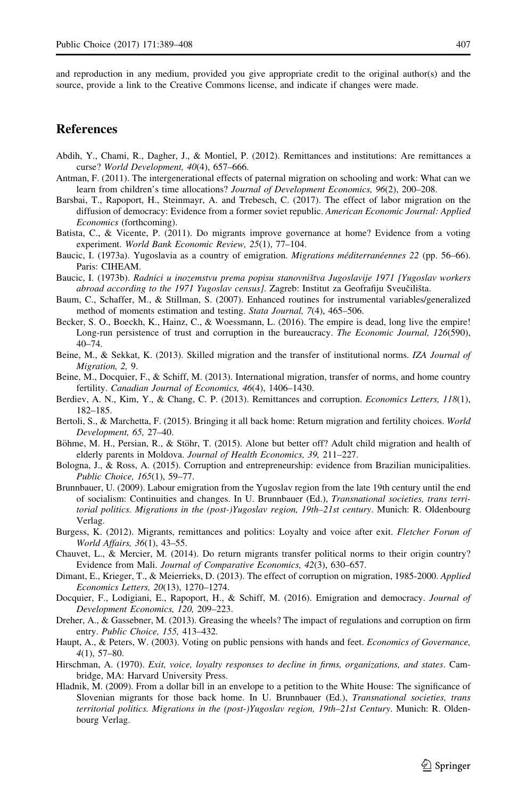<span id="page-18-0"></span>and reproduction in any medium, provided you give appropriate credit to the original author(s) and the source, provide a link to the Creative Commons license, and indicate if changes were made.

## **References**

- Abdih, Y., Chami, R., Dagher, J., & Montiel, P. (2012). Remittances and institutions: Are remittances a curse? World Development, 40(4), 657–666.
- Antman, F. (2011). The intergenerational effects of paternal migration on schooling and work: What can we learn from children's time allocations? Journal of Development Economics, 96(2), 200–208.
- Barsbai, T., Rapoport, H., Steinmayr, A. and Trebesch, C. (2017). The effect of labor migration on the diffusion of democracy: Evidence from a former soviet republic. American Economic Journal: Applied Economics (forthcoming).
- Batista, C., & Vicente, P. (2011). Do migrants improve governance at home? Evidence from a voting experiment. World Bank Economic Review, 25(1), 77–104.
- Baucic, I. (1973a). Yugoslavia as a country of emigration. *Migrations méditerranéennes 22* (pp. 56–66). Paris: CIHEAM.
- Baucic, I. (1973b). Radnici u inozemstvu prema popisu stanovništva Jugoslavije 1971 [Yugoslav workers abroad according to the 1971 Yugoslav census]. Zagreb: Institut za Geofrafiju Sveučilišta.
- Baum, C., Schaffer, M., & Stillman, S. (2007). Enhanced routines for instrumental variables/generalized method of moments estimation and testing. Stata Journal, 7(4), 465–506.
- Becker, S. O., Boeckh, K., Hainz, C., & Woessmann, L. (2016). The empire is dead, long live the empire! Long-run persistence of trust and corruption in the bureaucracy. The Economic Journal, 126(590), 40–74.
- Beine, M., & Sekkat, K. (2013). Skilled migration and the transfer of institutional norms. IZA Journal of Migration, 2, 9.
- Beine, M., Docquier, F., & Schiff, M. (2013). International migration, transfer of norms, and home country fertility. Canadian Journal of Economics, 46(4), 1406–1430.
- Berdiev, A. N., Kim, Y., & Chang, C. P. (2013). Remittances and corruption. Economics Letters, 118(1), 182–185.
- Bertoli, S., & Marchetta, F. (2015). Bringing it all back home: Return migration and fertility choices. World Development, 65, 27–40.
- Böhme, M. H., Persian, R., & Stöhr, T. (2015). Alone but better off? Adult child migration and health of elderly parents in Moldova. Journal of Health Economics, 39, 211–227.
- Bologna, J., & Ross, A. (2015). Corruption and entrepreneurship: evidence from Brazilian municipalities. Public Choice, 165(1), 59–77.
- Brunnbauer, U. (2009). Labour emigration from the Yugoslav region from the late 19th century until the end of socialism: Continuities and changes. In U. Brunnbauer (Ed.), Transnational societies, trans territorial politics. Migrations in the (post-)Yugoslav region, 19th–21st century. Munich: R. Oldenbourg Verlag.
- Burgess, K. (2012). Migrants, remittances and politics: Loyalty and voice after exit. Fletcher Forum of World Affairs, 36(1), 43–55.
- Chauvet, L., & Mercier, M. (2014). Do return migrants transfer political norms to their origin country? Evidence from Mali. Journal of Comparative Economics, 42(3), 630–657.
- Dimant, E., Krieger, T., & Meierrieks, D. (2013). The effect of corruption on migration, 1985-2000. Applied Economics Letters, 20(13), 1270–1274.
- Docquier, F., Lodigiani, E., Rapoport, H., & Schiff, M. (2016). Emigration and democracy. Journal of Development Economics, 120, 209–223.
- Dreher, A., & Gassebner, M. (2013). Greasing the wheels? The impact of regulations and corruption on firm entry. Public Choice, 155, 413–432.
- Haupt, A., & Peters, W. (2003). Voting on public pensions with hands and feet. Economics of Governance, 4(1), 57–80.
- Hirschman, A. (1970). Exit, voice, loyalty responses to decline in firms, organizations, and states. Cambridge, MA: Harvard University Press.
- Hladnik, M. (2009). From a dollar bill in an envelope to a petition to the White House: The significance of Slovenian migrants for those back home. In U. Brunnbauer (Ed.), Transnational societies, trans territorial politics. Migrations in the (post-)Yugoslav region, 19th–21st Century. Munich: R. Oldenbourg Verlag.